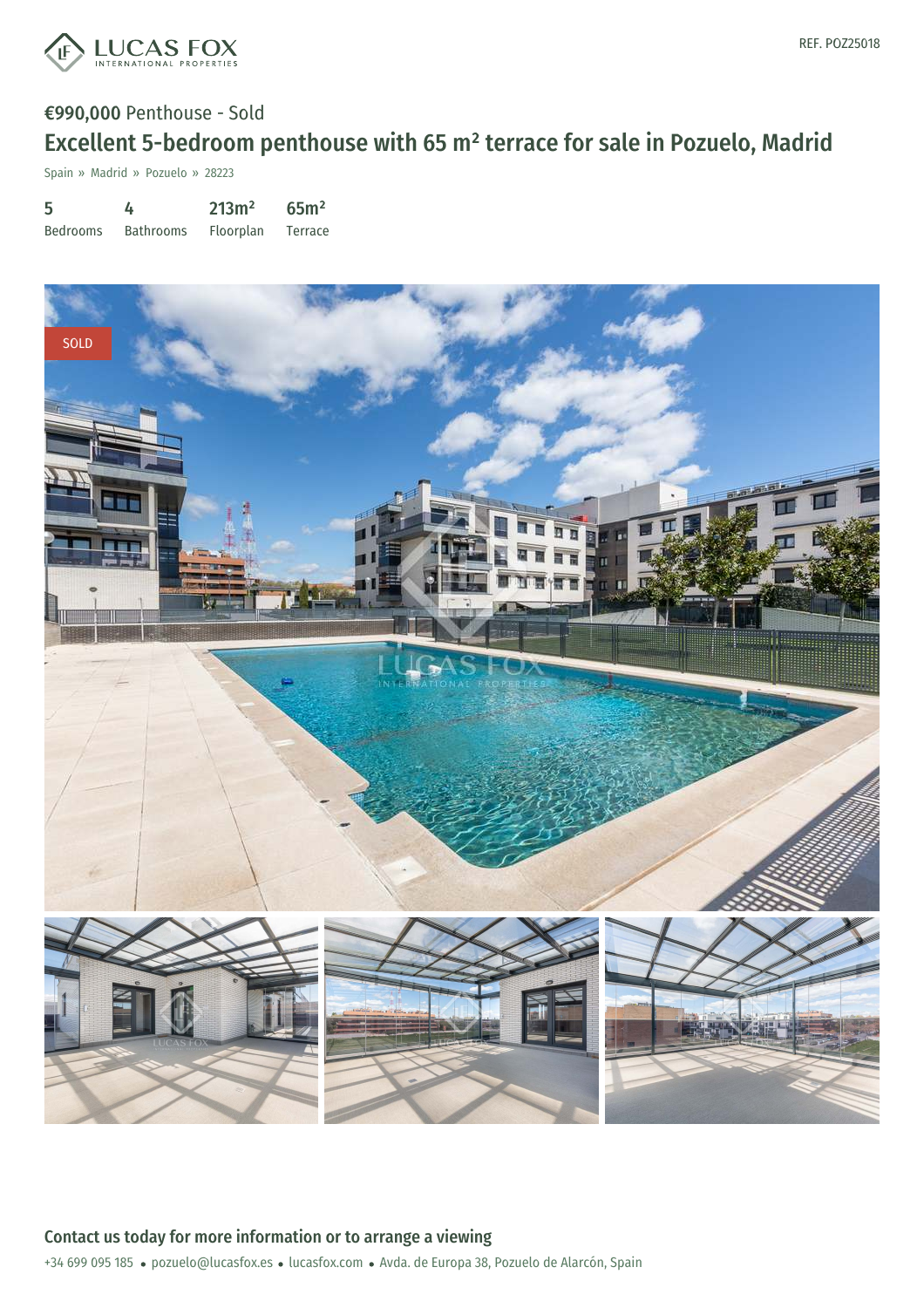

Spain » Madrid » Pozuelo » 28223

| 5               | 4                | 213m <sup>2</sup> | 65 <sup>m²</sup> |
|-----------------|------------------|-------------------|------------------|
| <b>Bedrooms</b> | <b>Bathrooms</b> | Floorplan         | Terrace          |

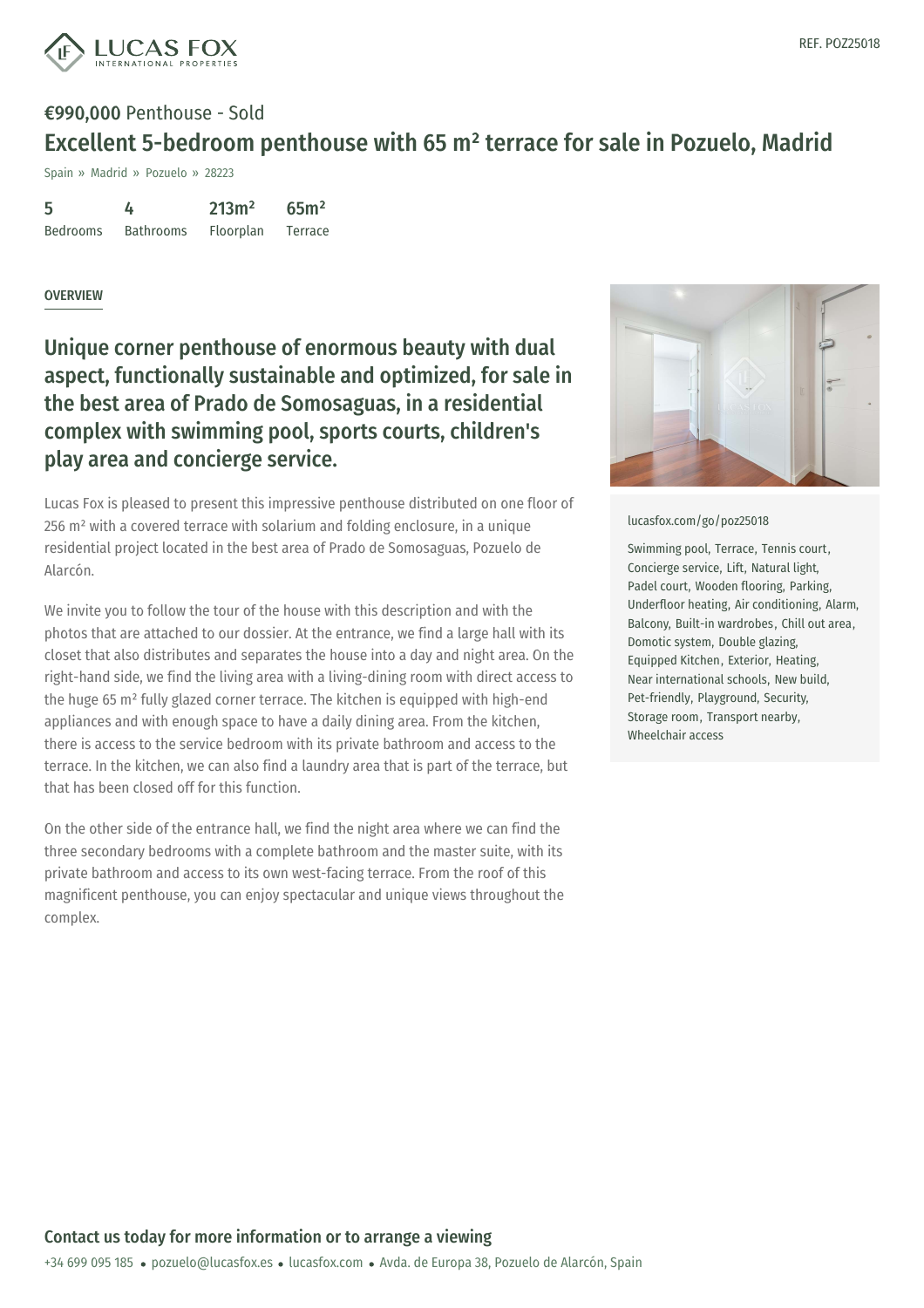

Spain » Madrid » Pozuelo » 28223

| 5               | 4                | 213m <sup>2</sup> | 65 <sup>m²</sup> |
|-----------------|------------------|-------------------|------------------|
| <b>Bedrooms</b> | <b>Bathrooms</b> | Floorplan         | Terrace          |

### **OVERVIEW**

Unique corner penthouse of enormous beauty with dual aspect, functionally sustainable and optimized, for sale in the best area of Prado de Somosaguas, in a residential complex with swimming pool, sports courts, children's play area and concierge service.

Lucas Fox is pleased to present this impressive penthouse distributed on one floor of 256 m² with a covered terrace with solarium and folding enclosure, in a unique residential project located in the best area of Prado de Somosaguas, Pozuelo de Alarcón.

We invite you to follow the tour of the house with this description and with the photos that are attached to our dossier. At the entrance, we find a large hall with its closet that also distributes and separates the house into a day and night area. On the right-hand side, we find the living area with a living-dining room with direct access to the huge 65 m² fully glazed corner terrace. The kitchen is equipped with high-end appliances and with enough space to have a daily dining area. From the kitchen, there is access to the service bedroom with its private bathroom and access to the terrace. In the kitchen, we can also find a laundry area that is part of the terrace, but that has been closed off for this function.

On the other side of the entrance hall, we find the night area where we can find the three secondary bedrooms with a complete bathroom and the master suite, with its private bathroom and access to its own west-facing terrace. From the roof of this magnificent penthouse, you can enjoy spectacular and unique views throughout the complex.



#### [lucasfox.com/go/poz25018](https://www.lucasfox.com/go/poz25018)

Swimming pool, Terrace, Tennis court, Concierge service, Lift, Natural light, Padel court, Wooden flooring, Parking, Underfloor heating, Air conditioning, Alarm, Balcony, Built-in wardrobes, Chill out area, Domotic system, Double glazing, Equipped Kitchen, Exterior, Heating, Near international schools, New build, Pet-friendly, Playground, Security, Storage room, Transport nearby, Wheelchair access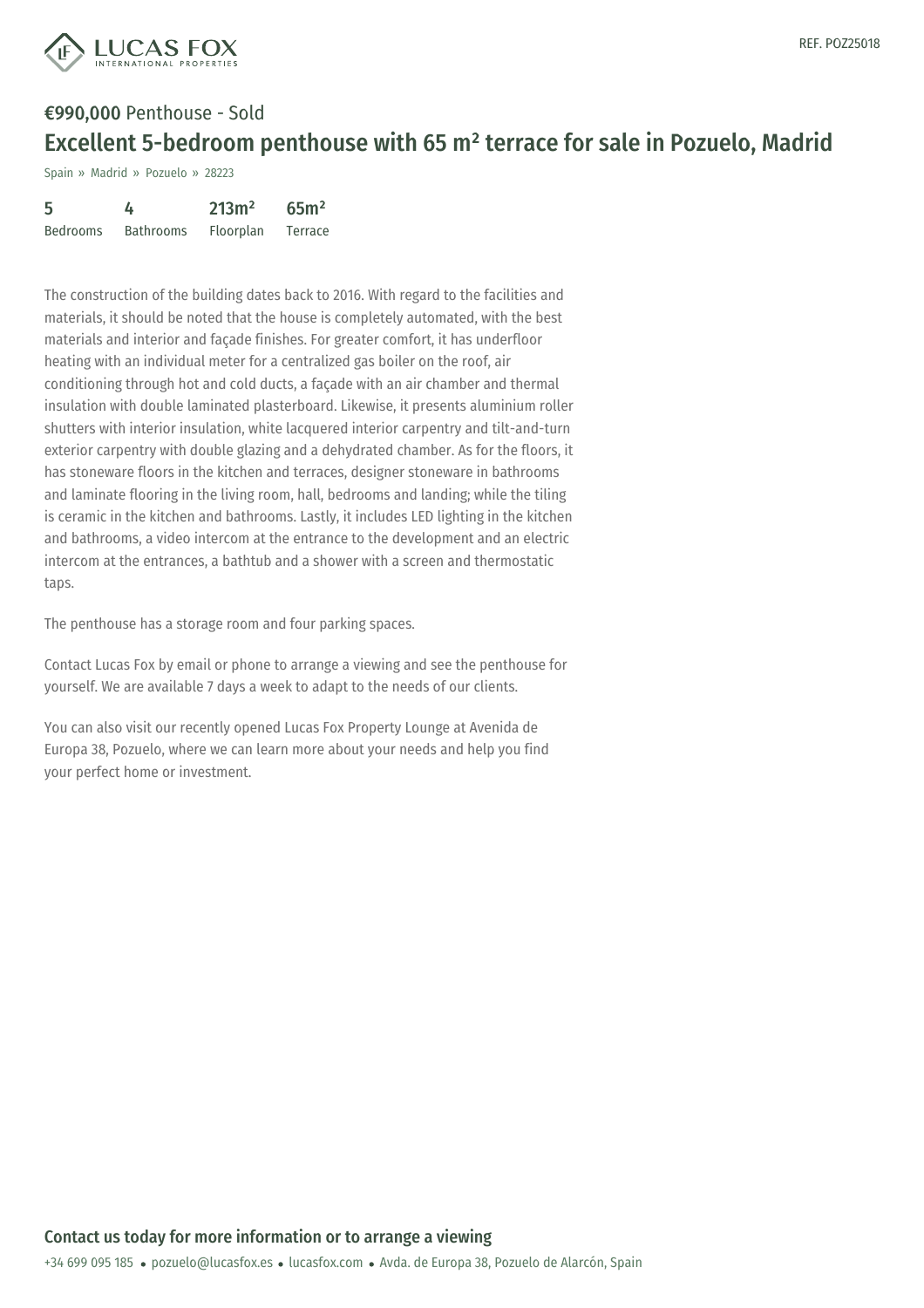

Spain » Madrid » Pozuelo » 28223

| 5               | 4                | 213m <sup>2</sup> | 65 <sup>m²</sup> |
|-----------------|------------------|-------------------|------------------|
| <b>Bedrooms</b> | <b>Bathrooms</b> | <b>Floorplan</b>  | Terrace          |

The construction of the building dates back to 2016. With regard to the facilities and materials, it should be noted that the house is completely automated, with the best materials and interior and façade finishes. For greater comfort, it has underfloor heating with an individual meter for a centralized gas boiler on the roof, air conditioning through hot and cold ducts, a façade with an air chamber and thermal insulation with double laminated plasterboard. Likewise, it presents aluminium roller shutters with interior insulation, white lacquered interior carpentry and tilt-and-turn exterior carpentry with double glazing and a dehydrated chamber. As for the floors, it has stoneware floors in the kitchen and terraces, designer stoneware in bathrooms and laminate flooring in the living room, hall, bedrooms and landing; while the tiling is ceramic in the kitchen and bathrooms. Lastly, it includes LED lighting in the kitchen and bathrooms, a video intercom at the entrance to the development and an electric intercom at the entrances, a bathtub and a shower with a screen and thermostatic taps.

The penthouse has a storage room and four parking spaces.

Contact Lucas Fox by email or phone to arrange a viewing and see the penthouse for yourself. We are available 7 days a week to adapt to the needs of our clients.

You can also visit our recently opened Lucas Fox Property Lounge at Avenida de Europa 38, Pozuelo, where we can learn more about your needs and help you find your perfect home or investment.